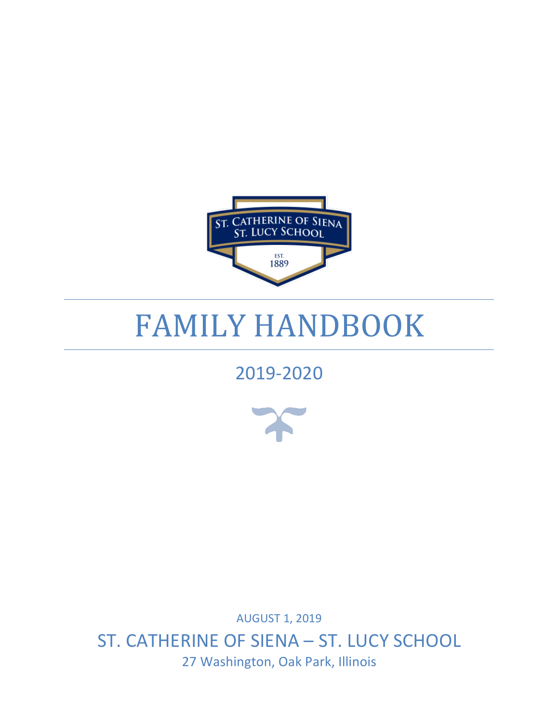

# FAMILY HANDBOOK

## 2019-2020



**AUGUST 1, 2019** ST. CATHERINE OF SIENA - ST. LUCY SCHOOL 27 Washington, Oak Park, Illinois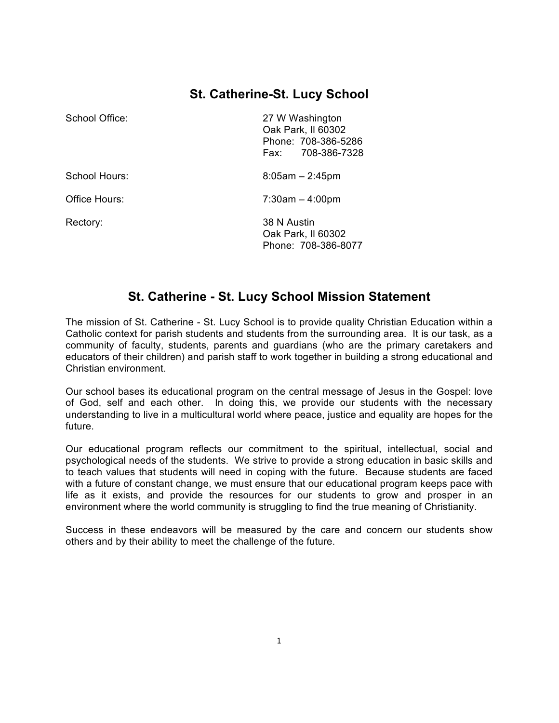## **St. Catherine-St. Lucy School**

| School Office: | 27 W Washington<br>Oak Park, II 60302<br>Phone: 708-386-5286<br>708-386-7328<br>Fax: |
|----------------|--------------------------------------------------------------------------------------|
| School Hours:  | $8:05am - 2:45pm$                                                                    |
| Office Hours:  | $7:30am - 4:00pm$                                                                    |
| Rectory:       | 38 N Austin<br>Oak Park, II 60302<br>Phone: 708-386-8077                             |

## **St. Catherine - St. Lucy School Mission Statement**

The mission of St. Catherine - St. Lucy School is to provide quality Christian Education within a Catholic context for parish students and students from the surrounding area. It is our task, as a community of faculty, students, parents and guardians (who are the primary caretakers and educators of their children) and parish staff to work together in building a strong educational and Christian environment.

Our school bases its educational program on the central message of Jesus in the Gospel: love of God, self and each other. In doing this, we provide our students with the necessary understanding to live in a multicultural world where peace, justice and equality are hopes for the future.

Our educational program reflects our commitment to the spiritual, intellectual, social and psychological needs of the students. We strive to provide a strong education in basic skills and to teach values that students will need in coping with the future. Because students are faced with a future of constant change, we must ensure that our educational program keeps pace with life as it exists, and provide the resources for our students to grow and prosper in an environment where the world community is struggling to find the true meaning of Christianity.

Success in these endeavors will be measured by the care and concern our students show others and by their ability to meet the challenge of the future.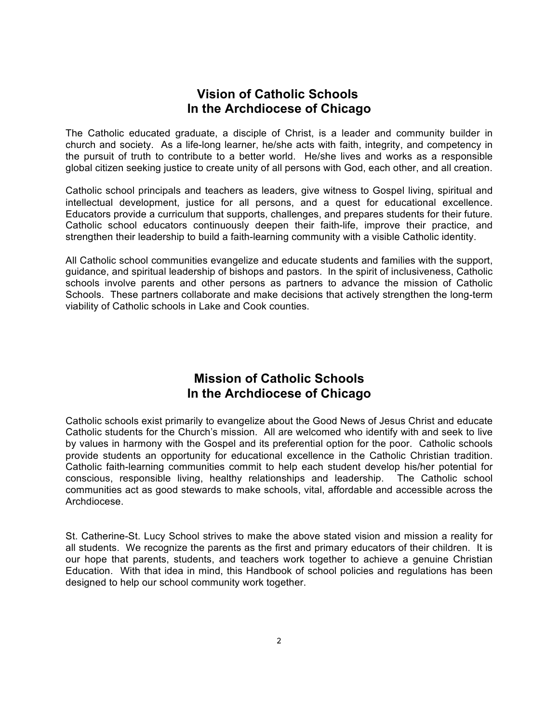### **Vision of Catholic Schools In the Archdiocese of Chicago**

The Catholic educated graduate, a disciple of Christ, is a leader and community builder in church and society. As a life-long learner, he/she acts with faith, integrity, and competency in the pursuit of truth to contribute to a better world. He/she lives and works as a responsible global citizen seeking justice to create unity of all persons with God, each other, and all creation.

Catholic school principals and teachers as leaders, give witness to Gospel living, spiritual and intellectual development, justice for all persons, and a quest for educational excellence. Educators provide a curriculum that supports, challenges, and prepares students for their future. Catholic school educators continuously deepen their faith-life, improve their practice, and strengthen their leadership to build a faith-learning community with a visible Catholic identity.

All Catholic school communities evangelize and educate students and families with the support, guidance, and spiritual leadership of bishops and pastors. In the spirit of inclusiveness, Catholic schools involve parents and other persons as partners to advance the mission of Catholic Schools. These partners collaborate and make decisions that actively strengthen the long-term viability of Catholic schools in Lake and Cook counties.

## **Mission of Catholic Schools In the Archdiocese of Chicago**

Catholic schools exist primarily to evangelize about the Good News of Jesus Christ and educate Catholic students for the Church's mission. All are welcomed who identify with and seek to live by values in harmony with the Gospel and its preferential option for the poor. Catholic schools provide students an opportunity for educational excellence in the Catholic Christian tradition. Catholic faith-learning communities commit to help each student develop his/her potential for conscious, responsible living, healthy relationships and leadership. The Catholic school communities act as good stewards to make schools, vital, affordable and accessible across the Archdiocese.

St. Catherine-St. Lucy School strives to make the above stated vision and mission a reality for all students. We recognize the parents as the first and primary educators of their children. It is our hope that parents, students, and teachers work together to achieve a genuine Christian Education. With that idea in mind, this Handbook of school policies and regulations has been designed to help our school community work together.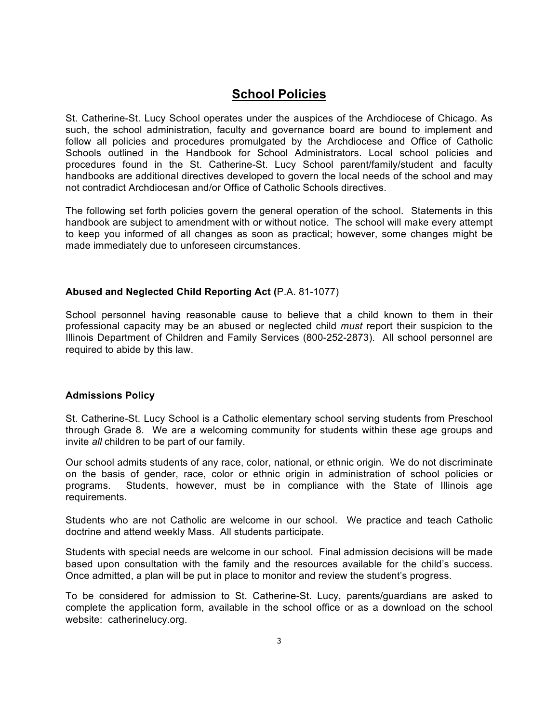## **School Policies**

St. Catherine-St. Lucy School operates under the auspices of the Archdiocese of Chicago. As such, the school administration, faculty and governance board are bound to implement and follow all policies and procedures promulgated by the Archdiocese and Office of Catholic Schools outlined in the Handbook for School Administrators. Local school policies and procedures found in the St. Catherine-St. Lucy School parent/family/student and faculty handbooks are additional directives developed to govern the local needs of the school and may not contradict Archdiocesan and/or Office of Catholic Schools directives.

The following set forth policies govern the general operation of the school. Statements in this handbook are subject to amendment with or without notice. The school will make every attempt to keep you informed of all changes as soon as practical; however, some changes might be made immediately due to unforeseen circumstances.

#### **Abused and Neglected Child Reporting Act (**P.A. 81-1077)

School personnel having reasonable cause to believe that a child known to them in their professional capacity may be an abused or neglected child *must* report their suspicion to the Illinois Department of Children and Family Services (800-252-2873). All school personnel are required to abide by this law.

#### **Admissions Policy**

St. Catherine-St. Lucy School is a Catholic elementary school serving students from Preschool through Grade 8. We are a welcoming community for students within these age groups and invite *all* children to be part of our family.

Our school admits students of any race, color, national, or ethnic origin. We do not discriminate on the basis of gender, race, color or ethnic origin in administration of school policies or programs. Students, however, must be in compliance with the State of Illinois age requirements.

Students who are not Catholic are welcome in our school. We practice and teach Catholic doctrine and attend weekly Mass. All students participate.

Students with special needs are welcome in our school. Final admission decisions will be made based upon consultation with the family and the resources available for the child's success. Once admitted, a plan will be put in place to monitor and review the student's progress.

To be considered for admission to St. Catherine-St. Lucy, parents/guardians are asked to complete the application form, available in the school office or as a download on the school website: catherinelucy.org.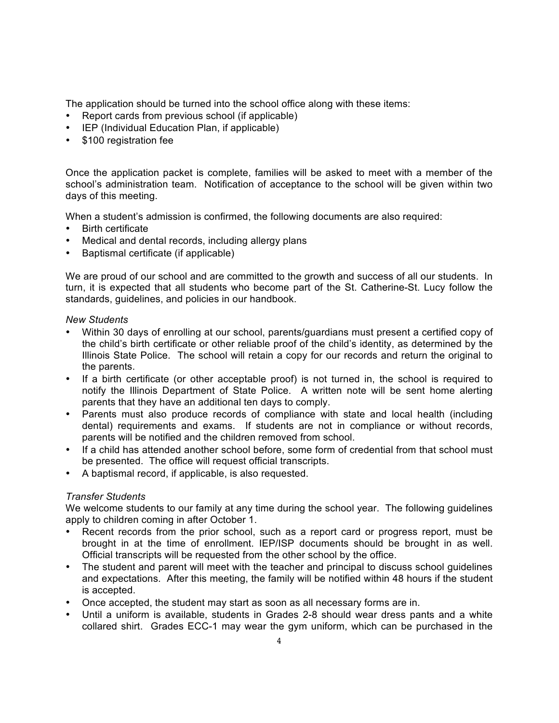The application should be turned into the school office along with these items:

- Report cards from previous school (if applicable)
- IEP (Individual Education Plan, if applicable)
- \$100 registration fee

Once the application packet is complete, families will be asked to meet with a member of the school's administration team. Notification of acceptance to the school will be given within two days of this meeting.

When a student's admission is confirmed, the following documents are also required:

- Birth certificate
- Medical and dental records, including allergy plans
- Baptismal certificate (if applicable)

We are proud of our school and are committed to the growth and success of all our students. In turn, it is expected that all students who become part of the St. Catherine-St. Lucy follow the standards, guidelines, and policies in our handbook.

#### *New Students*

- Within 30 days of enrolling at our school, parents/guardians must present a certified copy of the child's birth certificate or other reliable proof of the child's identity, as determined by the Illinois State Police. The school will retain a copy for our records and return the original to the parents.
- If a birth certificate (or other acceptable proof) is not turned in, the school is required to notify the Illinois Department of State Police. A written note will be sent home alerting parents that they have an additional ten days to comply.
- Parents must also produce records of compliance with state and local health (including dental) requirements and exams. If students are not in compliance or without records, parents will be notified and the children removed from school.
- If a child has attended another school before, some form of credential from that school must be presented. The office will request official transcripts.
- A baptismal record, if applicable, is also requested.

#### *Transfer Students*

We welcome students to our family at any time during the school year. The following guidelines apply to children coming in after October 1.

- Recent records from the prior school, such as a report card or progress report, must be brought in at the time of enrollment. IEP/ISP documents should be brought in as well. Official transcripts will be requested from the other school by the office.
- The student and parent will meet with the teacher and principal to discuss school guidelines and expectations. After this meeting, the family will be notified within 48 hours if the student is accepted.
- Once accepted, the student may start as soon as all necessary forms are in.
- Until a uniform is available, students in Grades 2-8 should wear dress pants and a white collared shirt. Grades ECC-1 may wear the gym uniform, which can be purchased in the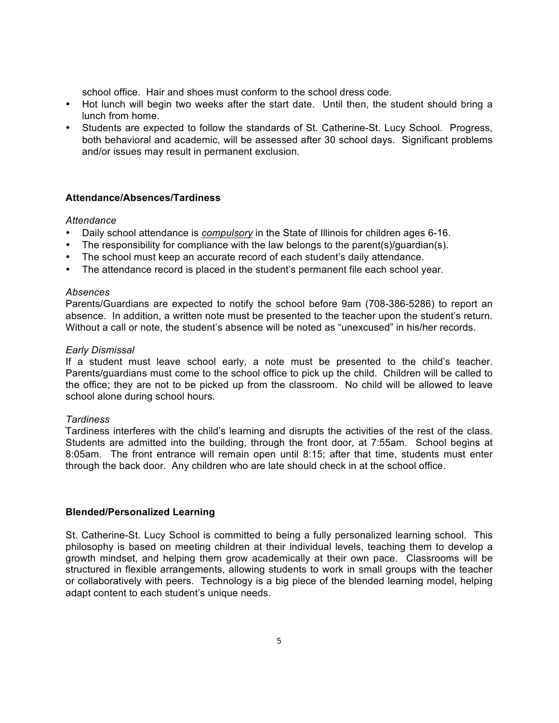school office. Hair and shoes must conform to the school dress code.

- Hot lunch will begin two weeks after the start date. Until then, the student should bring a lunch from home.
- Students are expected to follow the standards of St. Catherine-St. Lucy School. Progress, both behavioral and academic, will be assessed after 30 school days. Significant problems and/or issues may result in permanent exclusion.

#### **Attendance/Absences/Tardiness**

#### *Attendance*

- Daily school attendance is *compulsory* in the State of Illinois for children ages 6-16.
- The responsibility for compliance with the law belongs to the parent(s)/guardian(s).
- The school must keep an accurate record of each student's daily attendance.
- The attendance record is placed in the student's permanent file each school year.

#### *Absences*

Parents/Guardians are expected to notify the school before 9am (708-386-5286) to report an absence. In addition, a written note must be presented to the teacher upon the student's return. Without a call or note, the student's absence will be noted as "unexcused" in his/her records.

#### *Early Dismissal*

If a student must leave school early, a note must be presented to the child's teacher. Parents/guardians must come to the school office to pick up the child. Children will be called to the office; they are not to be picked up from the classroom. No child will be allowed to leave school alone during school hours.

#### *Tardiness*

Tardiness interferes with the child's learning and disrupts the activities of the rest of the class. Students are admitted into the building, through the front door, at 7:55am. School begins at 8:05am. The front entrance will remain open until 8:15; after that time, students must enter through the back door. Any children who are late should check in at the school office.

#### **Blended/Personalized Learning**

St. Catherine-St. Lucy School is committed to being a fully personalized learning school. This philosophy is based on meeting children at their individual levels, teaching them to develop a growth mindset, and helping them grow academically at their own pace. Classrooms will be structured in flexible arrangements, allowing students to work in small groups with the teacher or collaboratively with peers. Technology is a big piece of the blended learning model, helping adapt content to each student's unique needs.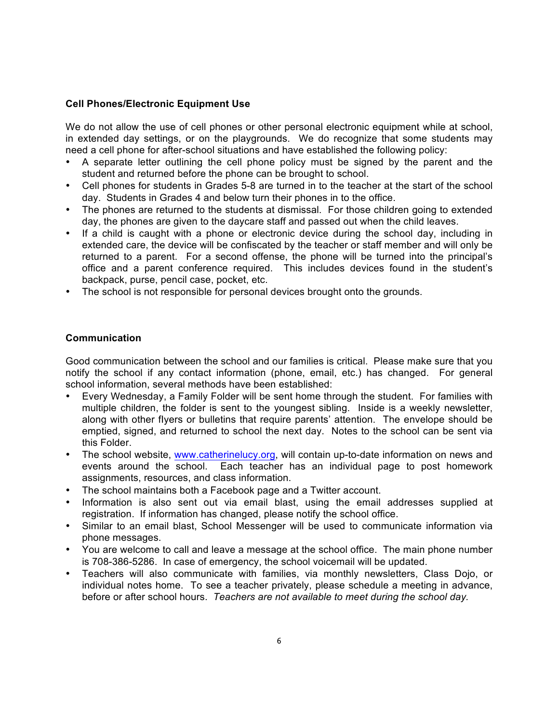#### **Cell Phones/Electronic Equipment Use**

We do not allow the use of cell phones or other personal electronic equipment while at school, in extended day settings, or on the playgrounds. We do recognize that some students may need a cell phone for after-school situations and have established the following policy:

- A separate letter outlining the cell phone policy must be signed by the parent and the student and returned before the phone can be brought to school.
- Cell phones for students in Grades 5-8 are turned in to the teacher at the start of the school day. Students in Grades 4 and below turn their phones in to the office.
- The phones are returned to the students at dismissal. For those children going to extended day, the phones are given to the daycare staff and passed out when the child leaves.
- If a child is caught with a phone or electronic device during the school day, including in extended care, the device will be confiscated by the teacher or staff member and will only be returned to a parent. For a second offense, the phone will be turned into the principal's office and a parent conference required. This includes devices found in the student's backpack, purse, pencil case, pocket, etc.
- The school is not responsible for personal devices brought onto the grounds.

#### **Communication**

Good communication between the school and our families is critical. Please make sure that you notify the school if any contact information (phone, email, etc.) has changed. For general school information, several methods have been established:

- Every Wednesday, a Family Folder will be sent home through the student. For families with multiple children, the folder is sent to the youngest sibling. Inside is a weekly newsletter, along with other fIyers or bulletins that require parents' attention. The envelope should be emptied, signed, and returned to school the next day. Notes to the school can be sent via this Folder.
- The school website, www.catherinelucy.org, will contain up-to-date information on news and events around the school. Each teacher has an individual page to post homework assignments, resources, and class information.
- The school maintains both a Facebook page and a Twitter account.
- Information is also sent out via email blast, using the email addresses supplied at registration. If information has changed, please notify the school office.
- Similar to an email blast, School Messenger will be used to communicate information via phone messages.
- You are welcome to call and leave a message at the school office. The main phone number is 708-386-5286. In case of emergency, the school voicemail will be updated.
- Teachers will also communicate with families, via monthly newsletters, Class Dojo, or individual notes home. To see a teacher privately, please schedule a meeting in advance, before or after school hours. *Teachers are not available to meet during the school day.*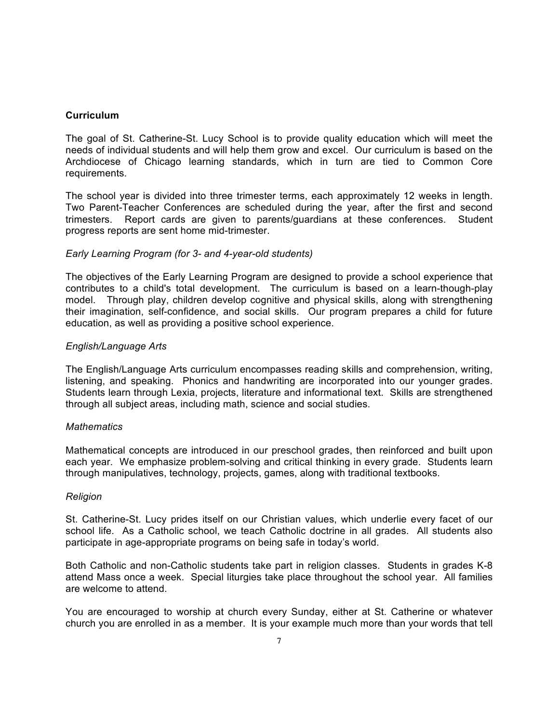#### **Curriculum**

The goal of St. Catherine-St. Lucy School is to provide quality education which will meet the needs of individual students and will help them grow and excel. Our curriculum is based on the Archdiocese of Chicago learning standards, which in turn are tied to Common Core requirements.

The school year is divided into three trimester terms, each approximately 12 weeks in length. Two Parent-Teacher Conferences are scheduled during the year, after the first and second trimesters. Report cards are given to parents/guardians at these conferences. Student progress reports are sent home mid-trimester.

#### *Early Learning Program (for 3- and 4-year-old students)*

The objectives of the Early Learning Program are designed to provide a school experience that contributes to a child's total development. The curriculum is based on a learn-though-play model. Through play, children develop cognitive and physical skills, along with strengthening their imagination, self-confidence, and social skills. Our program prepares a child for future education, as well as providing a positive school experience.

#### *English/Language Arts*

The English/Language Arts curriculum encompasses reading skills and comprehension, writing, listening, and speaking. Phonics and handwriting are incorporated into our younger grades. Students learn through Lexia, projects, literature and informational text. Skills are strengthened through all subject areas, including math, science and social studies.

#### *Mathematics*

Mathematical concepts are introduced in our preschool grades, then reinforced and built upon each year. We emphasize problem-solving and critical thinking in every grade. Students learn through manipulatives, technology, projects, games, along with traditional textbooks.

#### *Religion*

St. Catherine-St. Lucy prides itself on our Christian values, which underlie every facet of our school life. As a Catholic school, we teach Catholic doctrine in all grades. All students also participate in age-appropriate programs on being safe in today's world.

Both Catholic and non-Catholic students take part in religion classes. Students in grades K-8 attend Mass once a week. Special liturgies take place throughout the school year. All families are welcome to attend.

You are encouraged to worship at church every Sunday, either at St. Catherine or whatever church you are enrolled in as a member. It is your example much more than your words that tell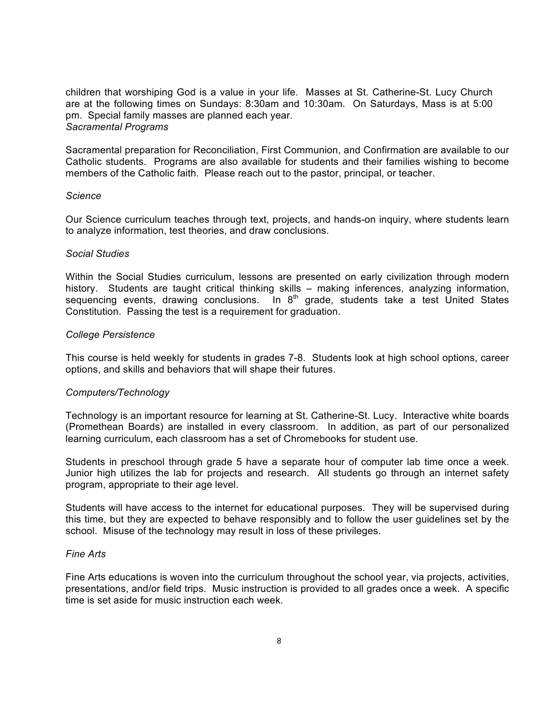children that worshiping God is a value in your life. Masses at St. Catherine-St. Lucy Church are at the following times on Sundays: 8:30am and 10:30am. On Saturdays, Mass is at 5:00 pm. Special family masses are planned each year. *Sacramental Programs*

Sacramental preparation for Reconciliation, First Communion, and Confirmation are available to our Catholic students. Programs are also available for students and their families wishing to become members of the Catholic faith. Please reach out to the pastor, principal, or teacher.

#### *Science*

Our Science curriculum teaches through text, projects, and hands-on inquiry, where students learn to analyze information, test theories, and draw conclusions.

#### *Social Studies*

Within the Social Studies curriculum, lessons are presented on early civilization through modern history. Students are taught critical thinking skills – making inferences, analyzing information, sequencing events, drawing conclusions. In 8<sup>th</sup> grade, students take a test United States Constitution. Passing the test is a requirement for graduation.

#### *College Persistence*

This course is held weekly for students in grades 7-8. Students look at high school options, career options, and skills and behaviors that will shape their futures.

#### *Computers/Technology*

Technology is an important resource for learning at St. Catherine-St. Lucy. Interactive white boards (Promethean Boards) are installed in every classroom. In addition, as part of our personalized learning curriculum, each classroom has a set of Chromebooks for student use.

Students in preschool through grade 5 have a separate hour of computer lab time once a week. Junior high utilizes the lab for projects and research. All students go through an internet safety program, appropriate to their age level.

Students will have access to the internet for educational purposes. They will be supervised during this time, but they are expected to behave responsibly and to follow the user guidelines set by the school. Misuse of the technology may result in loss of these privileges.

#### *Fine Arts*

Fine Arts educations is woven into the curriculum throughout the school year, via projects, activities, presentations, and/or field trips. Music instruction is provided to all grades once a week. A specific time is set aside for music instruction each week.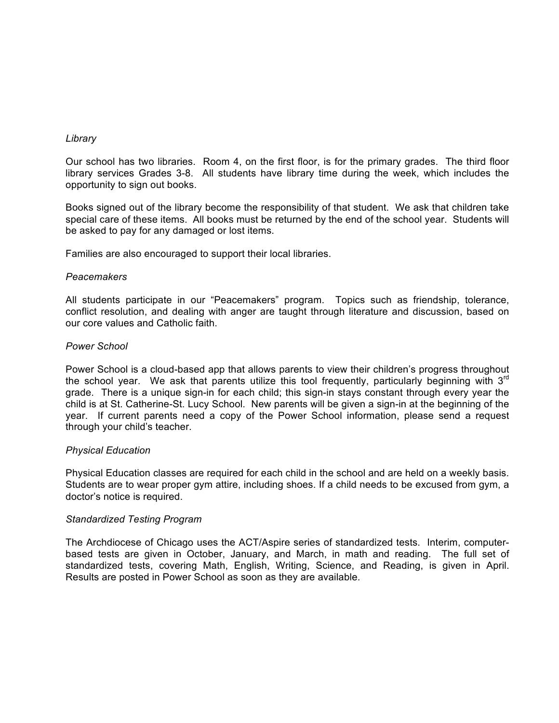#### *Library*

Our school has two libraries. Room 4, on the first floor, is for the primary grades. The third floor library services Grades 3-8. All students have library time during the week, which includes the opportunity to sign out books.

Books signed out of the library become the responsibility of that student. We ask that children take special care of these items. All books must be returned by the end of the school year. Students will be asked to pay for any damaged or lost items.

Families are also encouraged to support their local libraries.

#### *Peacemakers*

All students participate in our "Peacemakers" program. Topics such as friendship, tolerance, conflict resolution, and dealing with anger are taught through literature and discussion, based on our core values and Catholic faith.

#### *Power School*

Power School is a cloud-based app that allows parents to view their children's progress throughout the school year. We ask that parents utilize this tool frequently, particularly beginning with  $3<sup>rd</sup>$ grade. There is a unique sign-in for each child; this sign-in stays constant through every year the child is at St. Catherine-St. Lucy School. New parents will be given a sign-in at the beginning of the year. If current parents need a copy of the Power School information, please send a request through your child's teacher.

#### *Physical Education*

Physical Education classes are required for each child in the school and are held on a weekly basis. Students are to wear proper gym attire, including shoes. If a child needs to be excused from gym, a doctor's notice is required.

#### *Standardized Testing Program*

The Archdiocese of Chicago uses the ACT/Aspire series of standardized tests. Interim, computerbased tests are given in October, January, and March, in math and reading. The full set of standardized tests, covering Math, English, Writing, Science, and Reading, is given in April. Results are posted in Power School as soon as they are available.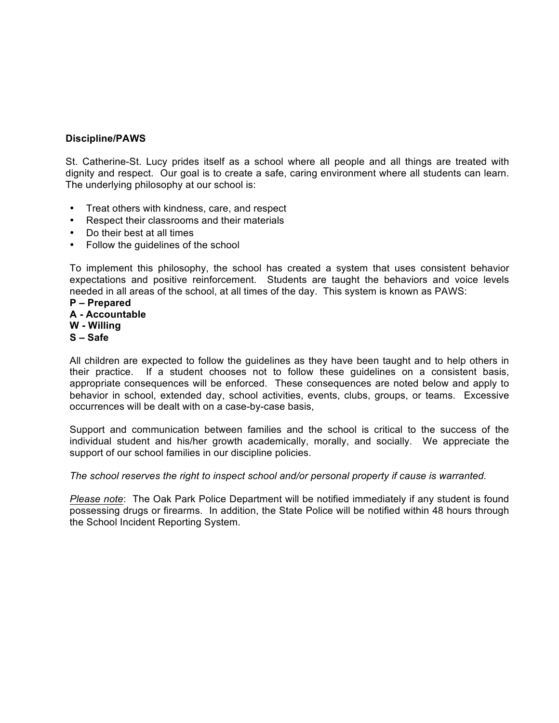#### **Discipline/PAWS**

St. Catherine-St. Lucy prides itself as a school where all people and all things are treated with dignity and respect. Our goal is to create a safe, caring environment where all students can learn. The underlying philosophy at our school is:

- Treat others with kindness, care, and respect
- Respect their classrooms and their materials
- Do their best at all times
- Follow the guidelines of the school

To implement this philosophy, the school has created a system that uses consistent behavior expectations and positive reinforcement. Students are taught the behaviors and voice levels needed in all areas of the school, at all times of the day. This system is known as PAWS:

**P – Prepared A - Accountable W - Willing S – Safe**

All children are expected to follow the guidelines as they have been taught and to help others in their practice. If a student chooses not to follow these guidelines on a consistent basis, appropriate consequences will be enforced. These consequences are noted below and apply to behavior in school, extended day, school activities, events, clubs, groups, or teams.Excessive occurrences will be dealt with on a case-by-case basis,

Support and communication between families and the school is critical to the success of the individual student and his/her growth academically, morally, and socially. We appreciate the support of our school families in our discipline policies.

*The school reserves the right to inspect school and/or personal property if cause is warranted.*

*Please note*: The Oak Park Police Department will be notified immediately if any student is found possessing drugs or firearms. In addition, the State Police will be notified within 48 hours through the School Incident Reporting System.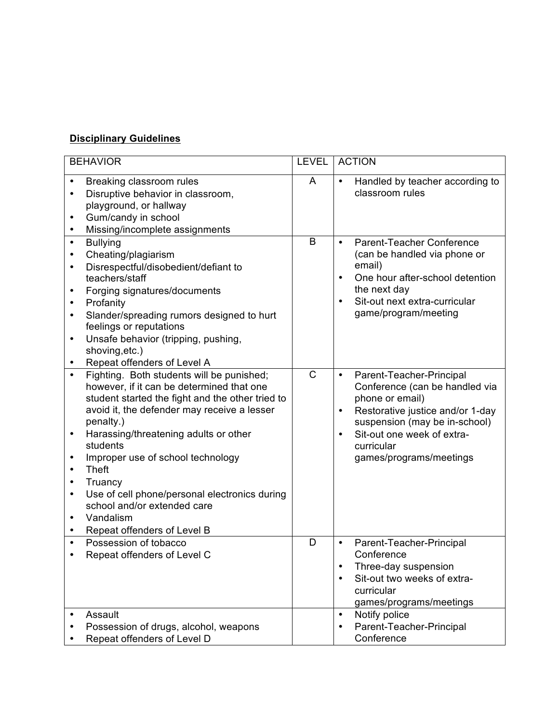## **Disciplinary Guidelines**

| <b>BEHAVIOR</b>                                                                                                                                                                                                                                                                                                                                                                                                                                                                                                                                 | <b>LEVEL</b> | <b>ACTION</b>                                                                                                                                                                                                                                                    |
|-------------------------------------------------------------------------------------------------------------------------------------------------------------------------------------------------------------------------------------------------------------------------------------------------------------------------------------------------------------------------------------------------------------------------------------------------------------------------------------------------------------------------------------------------|--------------|------------------------------------------------------------------------------------------------------------------------------------------------------------------------------------------------------------------------------------------------------------------|
| Breaking classroom rules<br>Disruptive behavior in classroom,<br>$\bullet$<br>playground, or hallway<br>Gum/candy in school<br>$\bullet$<br>Missing/incomplete assignments<br>$\bullet$                                                                                                                                                                                                                                                                                                                                                         | A            | Handled by teacher according to<br>$\bullet$<br>classroom rules                                                                                                                                                                                                  |
| <b>Bullying</b><br>$\bullet$<br>Cheating/plagiarism<br>$\bullet$<br>Disrespectful/disobedient/defiant to<br>$\bullet$<br>teachers/staff<br>Forging signatures/documents<br>٠<br>Profanity<br>$\bullet$<br>Slander/spreading rumors designed to hurt<br>٠<br>feelings or reputations<br>Unsafe behavior (tripping, pushing,<br>$\bullet$<br>shoving, etc.)<br>Repeat offenders of Level A<br>$\bullet$                                                                                                                                           | B            | Parent-Teacher Conference<br>$\bullet$<br>(can be handled via phone or<br>email)<br>One hour after-school detention<br>$\bullet$<br>the next day<br>Sit-out next extra-curricular<br>$\bullet$<br>game/program/meeting                                           |
| Fighting. Both students will be punished;<br>$\bullet$<br>however, if it can be determined that one<br>student started the fight and the other tried to<br>avoid it, the defender may receive a lesser<br>penalty.)<br>Harassing/threatening adults or other<br>$\bullet$<br>students<br>Improper use of school technology<br>$\bullet$<br><b>Theft</b><br>$\bullet$<br>Truancy<br>٠<br>Use of cell phone/personal electronics during<br>$\bullet$<br>school and/or extended care<br>Vandalism<br>$\bullet$<br>Repeat offenders of Level B<br>٠ | $\mathsf{C}$ | Parent-Teacher-Principal<br>$\bullet$<br>Conference (can be handled via<br>phone or email)<br>Restorative justice and/or 1-day<br>$\bullet$<br>suspension (may be in-school)<br>Sit-out one week of extra-<br>$\bullet$<br>curricular<br>games/programs/meetings |
| Possession of tobacco<br>Repeat offenders of Level C                                                                                                                                                                                                                                                                                                                                                                                                                                                                                            | D            | Parent-Teacher-Principal<br>$\bullet$<br>Conference<br>Three-day suspension<br>$\bullet$<br>Sit-out two weeks of extra-<br>$\bullet$<br>curricular<br>games/programs/meetings                                                                                    |
| Assault<br>$\bullet$<br>Possession of drugs, alcohol, weapons<br>Repeat offenders of Level D                                                                                                                                                                                                                                                                                                                                                                                                                                                    |              | Notify police<br>$\bullet$<br>Parent-Teacher-Principal<br>$\bullet$<br>Conference                                                                                                                                                                                |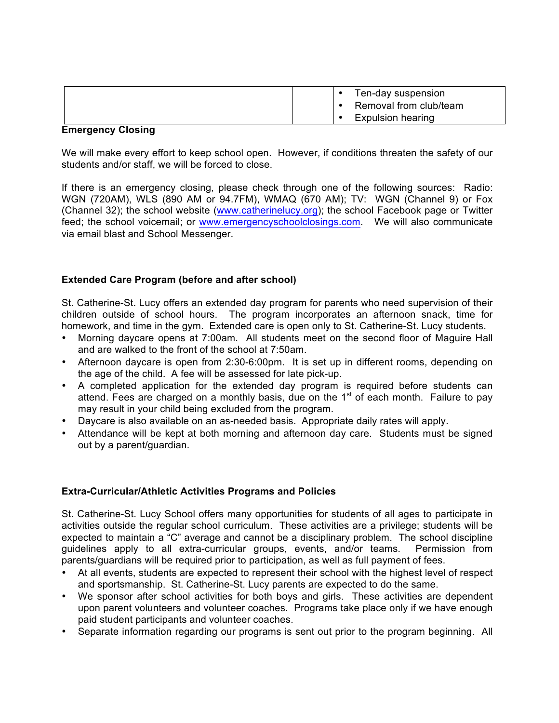|  | Ten-day suspension       |
|--|--------------------------|
|  | Removal from club/team   |
|  | <b>Expulsion hearing</b> |

#### **Emergency Closing**

We will make every effort to keep school open. However, if conditions threaten the safety of our students and/or staff, we will be forced to close.

If there is an emergency closing, please check through one of the following sources: Radio: WGN (720AM), WLS (890 AM or 94.7FM), WMAQ (670 AM); TV: WGN (Channel 9) or Fox (Channel 32); the school website (www.catherinelucy.org); the school Facebook page or Twitter feed; the school voicemail; or www.emergencyschoolclosings.com. We will also communicate via email blast and School Messenger.

#### **Extended Care Program (before and after school)**

St. Catherine-St. Lucy offers an extended day program for parents who need supervision of their children outside of school hours. The program incorporates an afternoon snack, time for homework, and time in the gym. Extended care is open only to St. Catherine-St. Lucy students.

- Morning daycare opens at 7:00am. All students meet on the second floor of Maguire Hall and are walked to the front of the school at 7:50am.
- Afternoon daycare is open from 2:30-6:00pm. It is set up in different rooms, depending on the age of the child. A fee will be assessed for late pick-up.
- A completed application for the extended day program is required before students can attend. Fees are charged on a monthly basis, due on the  $1<sup>st</sup>$  of each month. Failure to pay may result in your child being excluded from the program.
- Daycare is also available on an as-needed basis. Appropriate daily rates will apply.
- Attendance will be kept at both morning and afternoon day care. Students must be signed out by a parent/guardian.

#### **Extra-Curricular/Athletic Activities Programs and Policies**

St. Catherine-St. Lucy School offers many opportunities for students of all ages to participate in activities outside the regular school curriculum. These activities are a privilege; students will be expected to maintain a "C" average and cannot be a disciplinary problem. The school discipline guidelines apply to all extra-curricular groups, events, and/or teams. Permission from parents/guardians will be required prior to participation, as well as full payment of fees.

- At all events, students are expected to represent their school with the highest level of respect and sportsmanship. St. Catherine-St. Lucy parents are expected to do the same.
- We sponsor after school activities for both boys and girls. These activities are dependent upon parent volunteers and volunteer coaches. Programs take place only if we have enough paid student participants and volunteer coaches.
- Separate information regarding our programs is sent out prior to the program beginning. All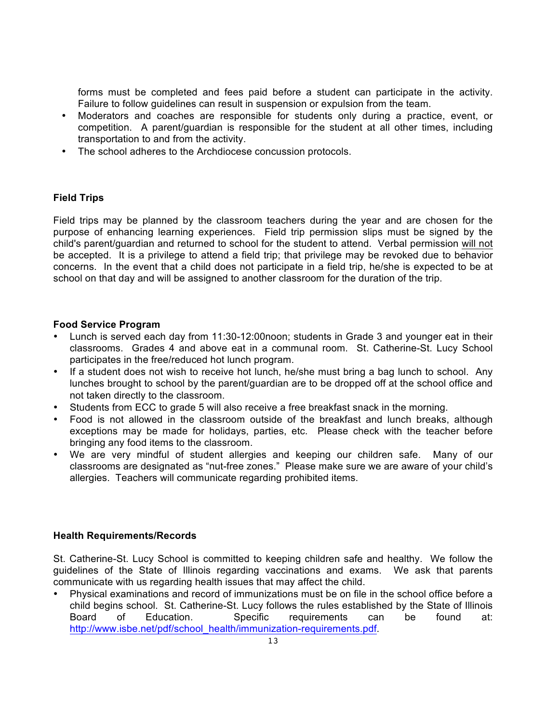forms must be completed and fees paid before a student can participate in the activity. Failure to follow guidelines can result in suspension or expulsion from the team.

- Moderators and coaches are responsible for students only during a practice, event, or competition. A parent/guardian is responsible for the student at all other times, including transportation to and from the activity.
- The school adheres to the Archdiocese concussion protocols.

#### **Field Trips**

Field trips may be planned by the classroom teachers during the year and are chosen for the purpose of enhancing learning experiences. Field trip permission slips must be signed by the child's parent/guardian and returned to school for the student to attend. Verbal permission will not be accepted. It is a privilege to attend a field trip; that privilege may be revoked due to behavior concerns. In the event that a child does not participate in a field trip, he/she is expected to be at school on that day and will be assigned to another classroom for the duration of the trip.

#### **Food Service Program**

- Lunch is served each day from 11:30-12:00noon; students in Grade 3 and younger eat in their classrooms. Grades 4 and above eat in a communal room. St. Catherine-St. Lucy School participates in the free/reduced hot lunch program.
- If a student does not wish to receive hot lunch, he/she must bring a bag lunch to school. Any lunches brought to school by the parent/guardian are to be dropped off at the school office and not taken directly to the classroom.
- Students from ECC to grade 5 will also receive a free breakfast snack in the morning.
- Food is not allowed in the classroom outside of the breakfast and lunch breaks, although exceptions may be made for holidays, parties, etc. Please check with the teacher before bringing any food items to the classroom.
- We are very mindful of student allergies and keeping our children safe. Many of our classrooms are designated as "nut-free zones." Please make sure we are aware of your child's allergies. Teachers will communicate regarding prohibited items.

#### **Health Requirements/Records**

St. Catherine-St. Lucy School is committed to keeping children safe and healthy. We follow the guidelines of the State of Illinois regarding vaccinations and exams. We ask that parents communicate with us regarding health issues that may affect the child.

• Physical examinations and record of immunizations must be on file in the school office before a child begins school. St. Catherine-St. Lucy follows the rules established by the State of Illinois Board of Education. Specific requirements can be found at: http://www.isbe.net/pdf/school\_health/immunization-requirements.pdf.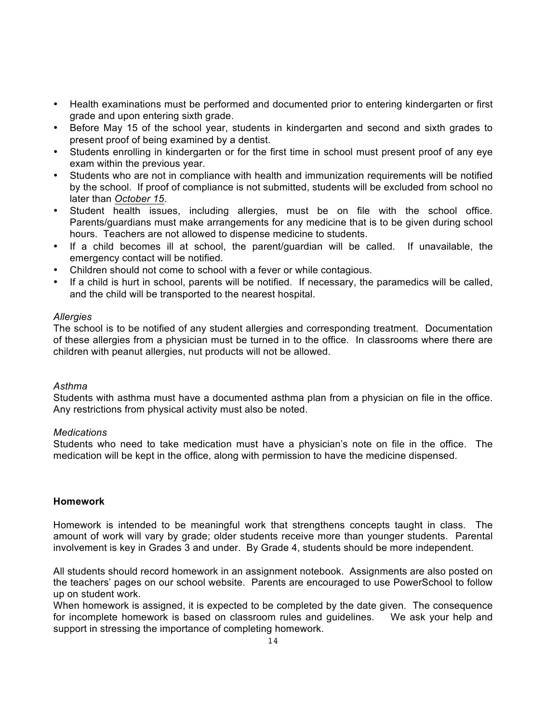- Health examinations must be performed and documented prior to entering kindergarten or first grade and upon entering sixth grade.
- Before May 15 of the school year, students in kindergarten and second and sixth grades to present proof of being examined by a dentist.
- Students enrolling in kindergarten or for the first time in school must present proof of any eye exam within the previous year.
- Students who are not in compliance with health and immunization requirements will be notified by the school. If proof of compliance is not submitted, students will be excluded from school no later than *October 15*.
- Student health issues, including allergies, must be on file with the school office. Parents/guardians must make arrangements for any medicine that is to be given during school hours. Teachers are not allowed to dispense medicine to students.
- If a child becomes ill at school, the parent/guardian will be called. If unavailable, the emergency contact will be notified.
- Children should not come to school with a fever or while contagious.
- If a child is hurt in school, parents will be notified. If necessary, the paramedics will be called, and the child will be transported to the nearest hospital.

#### *Allergies*

The school is to be notified of any student allergies and corresponding treatment. Documentation of these allergies from a physician must be turned in to the office. In classrooms where there are children with peanut allergies, nut products will not be allowed.

#### *Asthma*

Students with asthma must have a documented asthma plan from a physician on file in the office. Any restrictions from physical activity must also be noted.

#### *Medications*

Students who need to take medication must have a physician's note on file in the office. The medication will be kept in the office, along with permission to have the medicine dispensed.

#### **Homework**

Homework is intended to be meaningful work that strengthens concepts taught in class. The amount of work will vary by grade; older students receive more than younger students. Parental involvement is key in Grades 3 and under. By Grade 4, students should be more independent.

All students should record homework in an assignment notebook. Assignments are also posted on the teachers' pages on our school website. Parents are encouraged to use PowerSchool to follow up on student work.

When homework is assigned, it is expected to be completed by the date given. The consequence for incomplete homework is based on classroom rules and guidelines. We ask your help and support in stressing the importance of completing homework.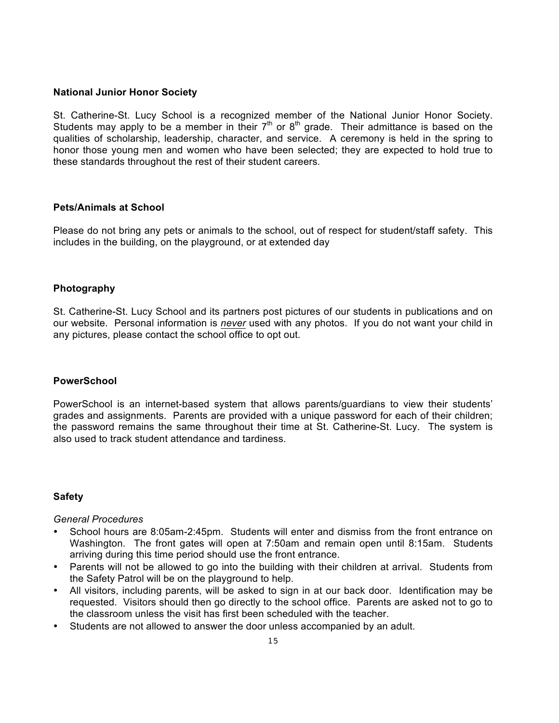#### **National Junior Honor Society**

St. Catherine-St. Lucy School is a recognized member of the National Junior Honor Society. Students may apply to be a member in their  $7<sup>th</sup>$  or  $8<sup>th</sup>$  grade. Their admittance is based on the qualities of scholarship, leadership, character, and service. A ceremony is held in the spring to honor those young men and women who have been selected; they are expected to hold true to these standards throughout the rest of their student careers.

#### **Pets/Animals at School**

Please do not bring any pets or animals to the school, out of respect for student/staff safety. This includes in the building, on the playground, or at extended day

#### **Photography**

St. Catherine-St. Lucy School and its partners post pictures of our students in publications and on our website. Personal information is *never* used with any photos. If you do not want your child in any pictures, please contact the school office to opt out.

#### **PowerSchool**

PowerSchool is an internet-based system that allows parents/guardians to view their students' grades and assignments. Parents are provided with a unique password for each of their children; the password remains the same throughout their time at St. Catherine-St. Lucy. The system is also used to track student attendance and tardiness.

#### **Safety**

#### *General Procedures*

- School hours are 8:05am-2:45pm. Students will enter and dismiss from the front entrance on Washington. The front gates will open at 7:50am and remain open until 8:15am. Students arriving during this time period should use the front entrance.
- Parents will not be allowed to go into the building with their children at arrival. Students from the Safety Patrol will be on the playground to help.
- All visitors, including parents, will be asked to sign in at our back door. Identification may be requested. Visitors should then go directly to the school office. Parents are asked not to go to the classroom unless the visit has first been scheduled with the teacher.
- Students are not allowed to answer the door unless accompanied by an adult.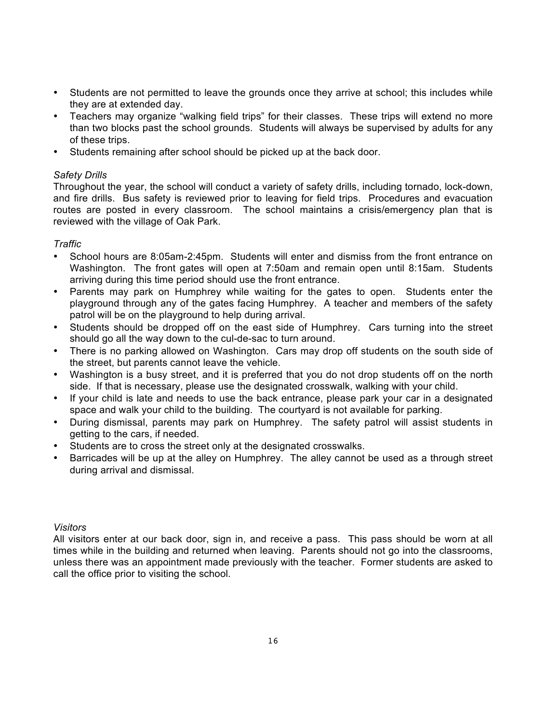- Students are not permitted to leave the grounds once they arrive at school; this includes while they are at extended day.
- Teachers may organize "walking field trips" for their classes. These trips will extend no more than two blocks past the school grounds. Students will always be supervised by adults for any of these trips.
- Students remaining after school should be picked up at the back door.

#### *Safety Drills*

Throughout the year, the school will conduct a variety of safety drills, including tornado, lock-down, and fire drills. Bus safety is reviewed prior to leaving for field trips. Procedures and evacuation routes are posted in every classroom. The school maintains a crisis/emergency plan that is reviewed with the village of Oak Park.

#### *Traffic*

- School hours are 8:05am-2:45pm. Students will enter and dismiss from the front entrance on Washington. The front gates will open at 7:50am and remain open until 8:15am. Students arriving during this time period should use the front entrance.
- Parents may park on Humphrey while waiting for the gates to open. Students enter the playground through any of the gates facing Humphrey. A teacher and members of the safety patrol will be on the playground to help during arrival.
- Students should be dropped off on the east side of Humphrey. Cars turning into the street should go all the way down to the cul-de-sac to turn around.
- There is no parking allowed on Washington. Cars may drop off students on the south side of the street, but parents cannot leave the vehicle.
- Washington is a busy street, and it is preferred that you do not drop students off on the north side. If that is necessary, please use the designated crosswalk, walking with your child.
- If your child is late and needs to use the back entrance, please park your car in a designated space and walk your child to the building. The courtyard is not available for parking.
- During dismissal, parents may park on Humphrey. The safety patrol will assist students in getting to the cars, if needed.
- Students are to cross the street only at the designated crosswalks.
- Barricades will be up at the alley on Humphrey. The alley cannot be used as a through street during arrival and dismissal.

#### *Visitors*

All visitors enter at our back door, sign in, and receive a pass. This pass should be worn at all times while in the building and returned when leaving. Parents should not go into the classrooms, unless there was an appointment made previously with the teacher. Former students are asked to call the office prior to visiting the school.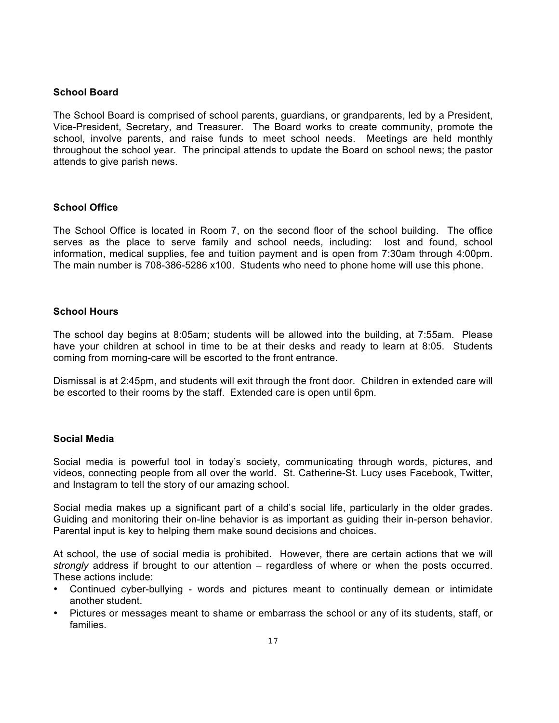#### **School Board**

The School Board is comprised of school parents, guardians, or grandparents, led by a President, Vice-President, Secretary, and Treasurer. The Board works to create community, promote the school, involve parents, and raise funds to meet school needs. Meetings are held monthly throughout the school year. The principal attends to update the Board on school news; the pastor attends to give parish news.

#### **School Office**

The School Office is located in Room 7, on the second floor of the school building. The office serves as the place to serve family and school needs, including: lost and found, school information, medical supplies, fee and tuition payment and is open from 7:30am through 4:00pm. The main number is 708-386-5286 x100. Students who need to phone home will use this phone.

#### **School Hours**

The school day begins at 8:05am; students will be allowed into the building, at 7:55am. Please have your children at school in time to be at their desks and ready to learn at 8:05. Students coming from morning-care will be escorted to the front entrance.

Dismissal is at 2:45pm, and students will exit through the front door. Children in extended care will be escorted to their rooms by the staff. Extended care is open until 6pm.

#### **Social Media**

Social media is powerful tool in today's society, communicating through words, pictures, and videos, connecting people from all over the world. St. Catherine-St. Lucy uses Facebook, Twitter, and Instagram to tell the story of our amazing school.

Social media makes up a significant part of a child's social life, particularly in the older grades. Guiding and monitoring their on-line behavior is as important as guiding their in-person behavior. Parental input is key to helping them make sound decisions and choices.

At school, the use of social media is prohibited. However, there are certain actions that we will *strongly* address if brought to our attention – regardless of where or when the posts occurred. These actions include:

- Continued cyber-bullying words and pictures meant to continually demean or intimidate another student.
- Pictures or messages meant to shame or embarrass the school or any of its students, staff, or families.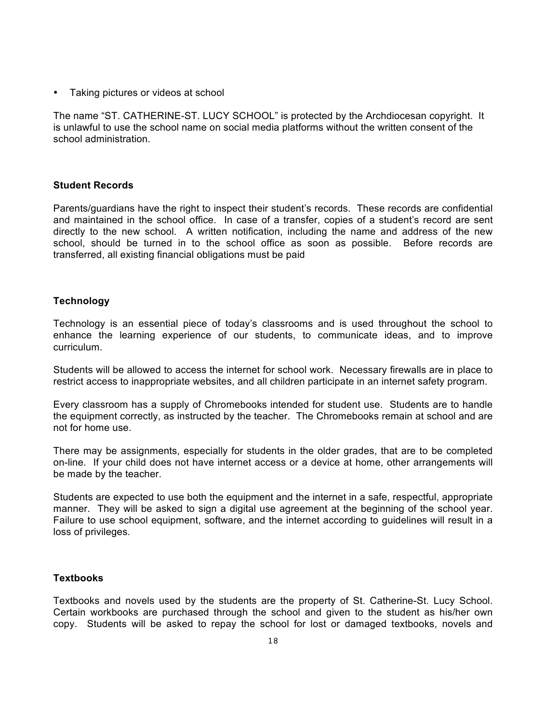• Taking pictures or videos at school

The name "ST. CATHERINE-ST. LUCY SCHOOL" is protected by the Archdiocesan copyright. It is unlawful to use the school name on social media platforms without the written consent of the school administration.

#### **Student Records**

Parents/guardians have the right to inspect their student's records. These records are confidential and maintained in the school office. In case of a transfer, copies of a student's record are sent directly to the new school. A written notification, including the name and address of the new school, should be turned in to the school office as soon as possible. Before records are transferred, all existing financial obligations must be paid

#### **Technology**

Technology is an essential piece of today's classrooms and is used throughout the school to enhance the learning experience of our students, to communicate ideas, and to improve curriculum.

Students will be allowed to access the internet for school work. Necessary firewalls are in place to restrict access to inappropriate websites, and all children participate in an internet safety program.

Every classroom has a supply of Chromebooks intended for student use. Students are to handle the equipment correctly, as instructed by the teacher. The Chromebooks remain at school and are not for home use.

There may be assignments, especially for students in the older grades, that are to be completed on-line. If your child does not have internet access or a device at home, other arrangements will be made by the teacher.

Students are expected to use both the equipment and the internet in a safe, respectful, appropriate manner. They will be asked to sign a digital use agreement at the beginning of the school year. Failure to use school equipment, software, and the internet according to guidelines will result in a loss of privileges.

#### **Textbooks**

Textbooks and novels used by the students are the property of St. Catherine-St. Lucy School. Certain workbooks are purchased through the school and given to the student as his/her own copy. Students will be asked to repay the school for lost or damaged textbooks, novels and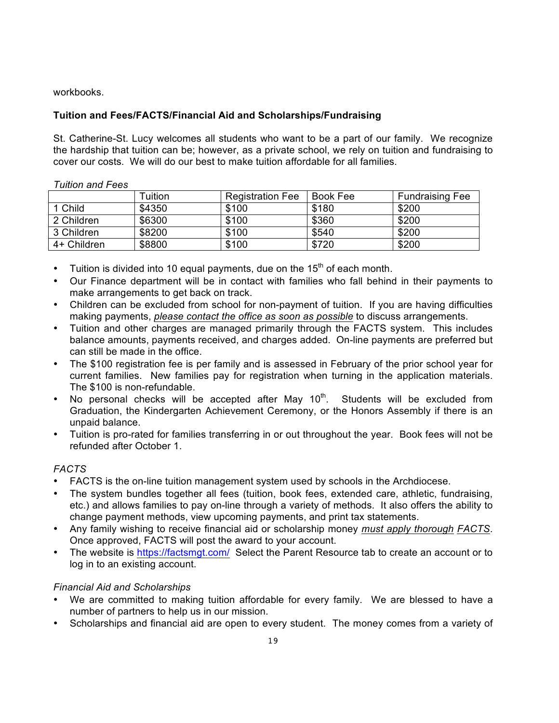workbooks.

*Tuition and Fees*

#### **Tuition and Fees/FACTS/Financial Aid and Scholarships/Fundraising**

St. Catherine-St. Lucy welcomes all students who want to be a part of our family. We recognize the hardship that tuition can be; however, as a private school, we rely on tuition and fundraising to cover our costs. We will do our best to make tuition affordable for all families.

| UIIUII dIIU FEES |         |                         |          |                        |
|------------------|---------|-------------------------|----------|------------------------|
|                  | Tuition | <b>Registration Fee</b> | Book Fee | <b>Fundraising Fee</b> |
| 1 Child          | \$4350  | \$100                   | \$180    | \$200                  |
| 2 Children       | \$6300  | \$100                   | \$360    | \$200                  |
| 3 Children       | \$8200  | \$100                   | \$540    | \$200                  |
| 4+ Children      | \$8800  | \$100                   | \$720    | \$200                  |

• Tuition is divided into 10 equal payments, due on the  $15<sup>th</sup>$  of each month.

- Our Finance department will be in contact with families who fall behind in their payments to make arrangements to get back on track.
- Children can be excluded from school for non-payment of tuition. If you are having difficulties making payments, *please contact the office as soon as possible* to discuss arrangements.
- Tuition and other charges are managed primarily through the FACTS system. This includes balance amounts, payments received, and charges added. On-line payments are preferred but can still be made in the office.
- The \$100 registration fee is per family and is assessed in February of the prior school year for current families. New families pay for registration when turning in the application materials. The \$100 is non-refundable.
- No personal checks will be accepted after May  $10<sup>th</sup>$ . Students will be excluded from Graduation, the Kindergarten Achievement Ceremony, or the Honors Assembly if there is an unpaid balance.
- Tuition is pro-rated for families transferring in or out throughout the year. Book fees will not be refunded after October 1.

#### *FACTS*

- FACTS is the on-line tuition management system used by schools in the Archdiocese.
- The system bundles together all fees (tuition, book fees, extended care, athletic, fundraising, etc.) and allows families to pay on-line through a variety of methods. It also offers the ability to change payment methods, view upcoming payments, and print tax statements.
- Any family wishing to receive financial aid or scholarship money *must apply thorough FACTS*. Once approved, FACTS will post the award to your account.
- The website is https://factsmgt.com/ Select the Parent Resource tab to create an account or to log in to an existing account.

#### *Financial Aid and Scholarships*

- We are committed to making tuition affordable for every family. We are blessed to have a number of partners to help us in our mission.
- Scholarships and financial aid are open to every student. The money comes from a variety of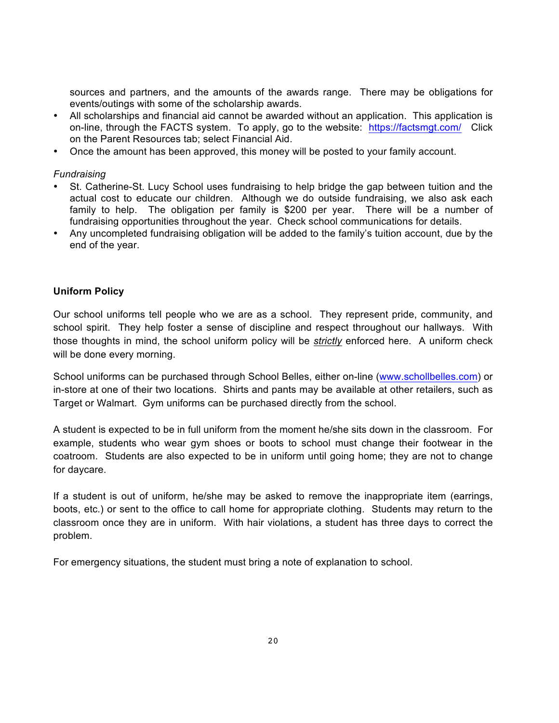sources and partners, and the amounts of the awards range. There may be obligations for events/outings with some of the scholarship awards.

- All scholarships and financial aid cannot be awarded without an application. This application is on-line, through the FACTS system. To apply, go to the website: https://factsmgt.com/ Click on the Parent Resources tab; select Financial Aid.
- Once the amount has been approved, this money will be posted to your family account.

#### *Fundraising*

- St. Catherine-St. Lucy School uses fundraising to help bridge the gap between tuition and the actual cost to educate our children. Although we do outside fundraising, we also ask each family to help. The obligation per family is \$200 per year. There will be a number of fundraising opportunities throughout the year. Check school communications for details.
- Any uncompleted fundraising obligation will be added to the family's tuition account, due by the end of the year.

#### **Uniform Policy**

Our school uniforms tell people who we are as a school. They represent pride, community, and school spirit. They help foster a sense of discipline and respect throughout our hallways. With those thoughts in mind, the school uniform policy will be *strictly* enforced here. A uniform check will be done every morning.

School uniforms can be purchased through School Belles, either on-line (www.schollbelles.com) or in-store at one of their two locations. Shirts and pants may be available at other retailers, such as Target or Walmart. Gym uniforms can be purchased directly from the school.

A student is expected to be in full uniform from the moment he/she sits down in the classroom. For example, students who wear gym shoes or boots to school must change their footwear in the coatroom. Students are also expected to be in uniform until going home; they are not to change for daycare.

If a student is out of uniform, he/she may be asked to remove the inappropriate item (earrings, boots, etc.) or sent to the office to call home for appropriate clothing. Students may return to the classroom once they are in uniform. With hair violations, a student has three days to correct the problem.

For emergency situations, the student must bring a note of explanation to school.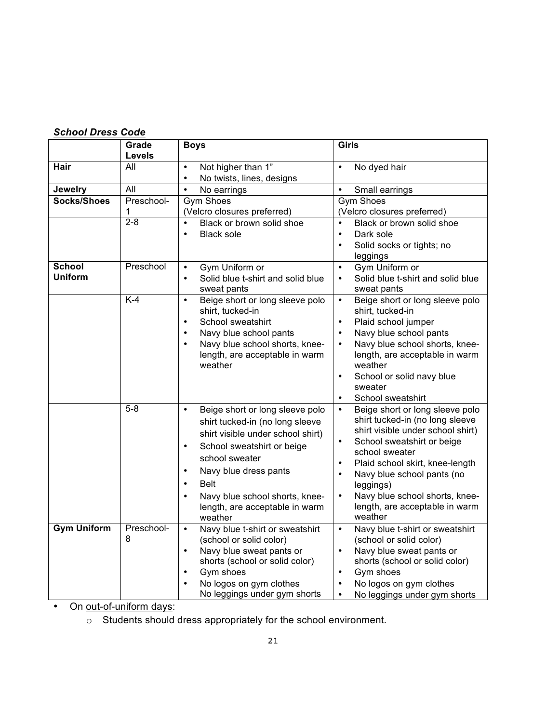## *School Dress Code*

|                                 | Grade<br>Levels | <b>Boys</b>                                                                                                                                                                                                                                                                                                                                     | Girls                                                                                                                                                                                                                                                                                                                                                       |
|---------------------------------|-----------------|-------------------------------------------------------------------------------------------------------------------------------------------------------------------------------------------------------------------------------------------------------------------------------------------------------------------------------------------------|-------------------------------------------------------------------------------------------------------------------------------------------------------------------------------------------------------------------------------------------------------------------------------------------------------------------------------------------------------------|
| Hair                            | All             | Not higher than 1"<br>$\bullet$<br>No twists, lines, designs<br>$\bullet$                                                                                                                                                                                                                                                                       | No dyed hair<br>$\bullet$                                                                                                                                                                                                                                                                                                                                   |
| <b>Jewelry</b>                  | All             | $\bullet$<br>No earrings                                                                                                                                                                                                                                                                                                                        | $\bullet$<br>Small earrings                                                                                                                                                                                                                                                                                                                                 |
| Socks/Shoes                     | Preschool-<br>1 | Gym Shoes<br>(Velcro closures preferred)                                                                                                                                                                                                                                                                                                        | <b>Gym Shoes</b><br>(Velcro closures preferred)                                                                                                                                                                                                                                                                                                             |
|                                 | $2 - 8$         | $\bullet$<br>Black or brown solid shoe<br><b>Black sole</b><br>$\bullet$                                                                                                                                                                                                                                                                        | $\bullet$<br>Black or brown solid shoe<br>Dark sole<br>$\bullet$<br>Solid socks or tights; no<br>leggings                                                                                                                                                                                                                                                   |
| <b>School</b><br><b>Uniform</b> | Preschool       | Gym Uniform or<br>$\bullet$<br>$\bullet$<br>Solid blue t-shirt and solid blue<br>sweat pants                                                                                                                                                                                                                                                    | Gym Uniform or<br>$\bullet$<br>Solid blue t-shirt and solid blue<br>$\bullet$<br>sweat pants                                                                                                                                                                                                                                                                |
|                                 | $K-4$           | Beige short or long sleeve polo<br>$\bullet$<br>shirt, tucked-in<br>School sweatshirt<br>$\bullet$<br>Navy blue school pants<br>$\bullet$<br>Navy blue school shorts, knee-<br>$\bullet$<br>length, are acceptable in warm<br>weather                                                                                                           | Beige short or long sleeve polo<br>$\bullet$<br>shirt, tucked-in<br>Plaid school jumper<br>$\bullet$<br>Navy blue school pants<br>$\bullet$<br>Navy blue school shorts, knee-<br>$\bullet$<br>length, are acceptable in warm<br>weather<br>School or solid navy blue<br>$\bullet$<br>sweater<br>School sweatshirt                                           |
|                                 | $5 - 8$         | Beige short or long sleeve polo<br>$\bullet$<br>shirt tucked-in (no long sleeve<br>shirt visible under school shirt)<br>School sweatshirt or beige<br>$\bullet$<br>school sweater<br>Navy blue dress pants<br>$\bullet$<br><b>Belt</b><br>$\bullet$<br>Navy blue school shorts, knee-<br>$\bullet$<br>length, are acceptable in warm<br>weather | Beige short or long sleeve polo<br>$\bullet$<br>shirt tucked-in (no long sleeve<br>shirt visible under school shirt)<br>School sweatshirt or beige<br>school sweater<br>Plaid school skirt, knee-length<br>$\bullet$<br>Navy blue school pants (no<br>leggings)<br>Navy blue school shorts, knee-<br>$\bullet$<br>length, are acceptable in warm<br>weather |
| <b>Gym Uniform</b>              | Preschool-<br>8 | Navy blue t-shirt or sweatshirt<br>$\bullet$<br>(school or solid color)<br>Navy blue sweat pants or<br>$\bullet$<br>shorts (school or solid color)<br>Gym shoes<br>$\bullet$<br>No logos on gym clothes<br>No leggings under gym shorts                                                                                                         | Navy blue t-shirt or sweatshirt<br>$\bullet$<br>(school or solid color)<br>Navy blue sweat pants or<br>$\bullet$<br>shorts (school or solid color)<br>Gym shoes<br>$\bullet$<br>No logos on gym clothes<br>No leggings under gym shorts<br>$\bullet$                                                                                                        |

• On out-of-uniform days:

o Students should dress appropriately for the school environment.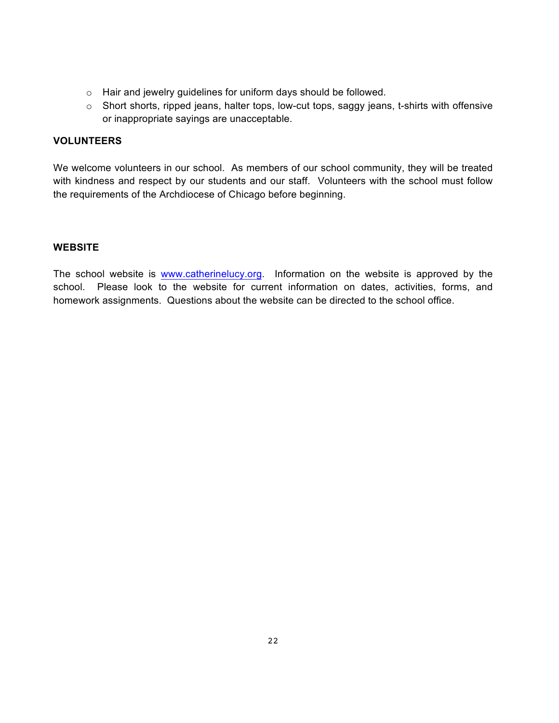- o Hair and jewelry guidelines for uniform days should be followed.
- o Short shorts, ripped jeans, halter tops, low-cut tops, saggy jeans, t-shirts with offensive or inappropriate sayings are unacceptable.

#### **VOLUNTEERS**

We welcome volunteers in our school. As members of our school community, they will be treated with kindness and respect by our students and our staff. Volunteers with the school must follow the requirements of the Archdiocese of Chicago before beginning.

#### **WEBSITE**

The school website is www.catherinelucy.org. Information on the website is approved by the school. Please look to the website for current information on dates, activities, forms, and homework assignments. Questions about the website can be directed to the school office.